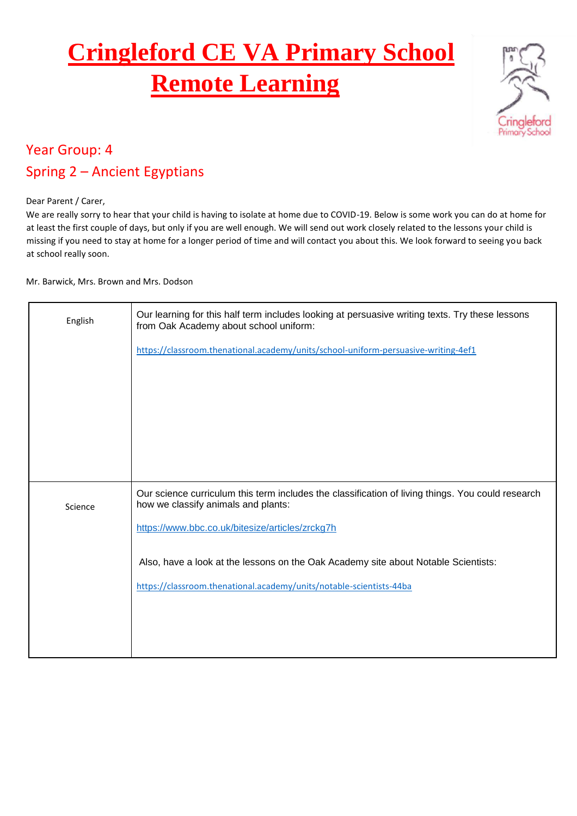## **Cringleford CE VA Primary School Remote Learning**



## Year Group: 4 Spring 2 – Ancient Egyptians

Dear Parent / Carer,

We are really sorry to hear that your child is having to isolate at home due to COVID-19. Below is some work you can do at home for at least the first couple of days, but only if you are well enough. We will send out work closely related to the lessons your child is missing if you need to stay at home for a longer period of time and will contact you about this. We look forward to seeing you back at school really soon.

Mr. Barwick, Mrs. Brown and Mrs. Dodson

| English | Our learning for this half term includes looking at persuasive writing texts. Try these lessons<br>from Oak Academy about school uniform: |
|---------|-------------------------------------------------------------------------------------------------------------------------------------------|
|         | https://classroom.thenational.academy/units/school-uniform-persuasive-writing-4ef1                                                        |
|         |                                                                                                                                           |
|         |                                                                                                                                           |
|         |                                                                                                                                           |
| Science | Our science curriculum this term includes the classification of living things. You could research<br>how we classify animals and plants:  |
|         | https://www.bbc.co.uk/bitesize/articles/zrckg7h                                                                                           |
|         | Also, have a look at the lessons on the Oak Academy site about Notable Scientists:                                                        |
|         | https://classroom.thenational.academy/units/notable-scientists-44ba                                                                       |
|         |                                                                                                                                           |
|         |                                                                                                                                           |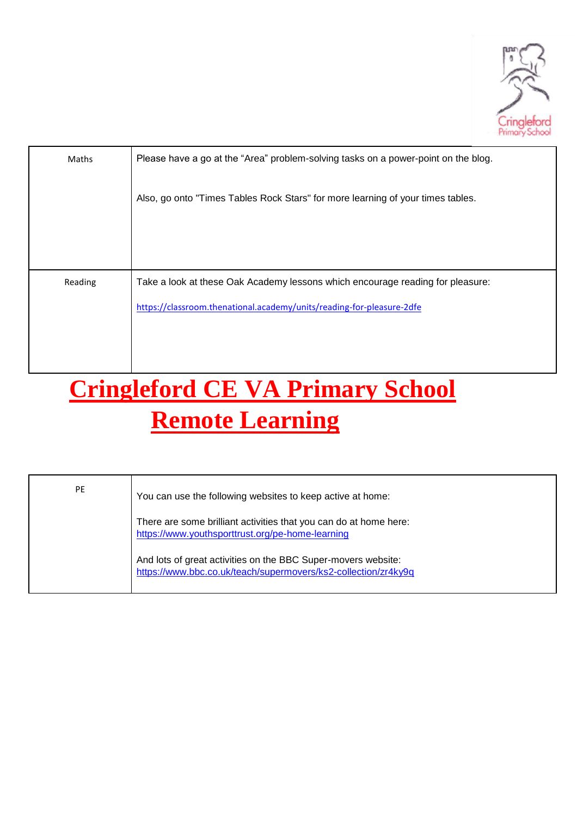

| Maths   | Please have a go at the "Area" problem-solving tasks on a power-point on the blog. |
|---------|------------------------------------------------------------------------------------|
|         | Also, go onto "Times Tables Rock Stars" for more learning of your times tables.    |
|         |                                                                                    |
|         |                                                                                    |
| Reading | Take a look at these Oak Academy lessons which encourage reading for pleasure:     |
|         | https://classroom.thenational.academy/units/reading-for-pleasure-2dfe              |
|         |                                                                                    |
|         |                                                                                    |
|         |                                                                                    |

## **Cringleford CE VA Primary School Remote Learning**

| <b>PE</b> | You can use the following websites to keep active at home:                                                                      |
|-----------|---------------------------------------------------------------------------------------------------------------------------------|
|           | There are some brilliant activities that you can do at home here:<br>https://www.youthsporttrust.org/pe-home-learning           |
|           | And lots of great activities on the BBC Super-movers website:<br>https://www.bbc.co.uk/teach/supermovers/ks2-collection/zr4ky9q |